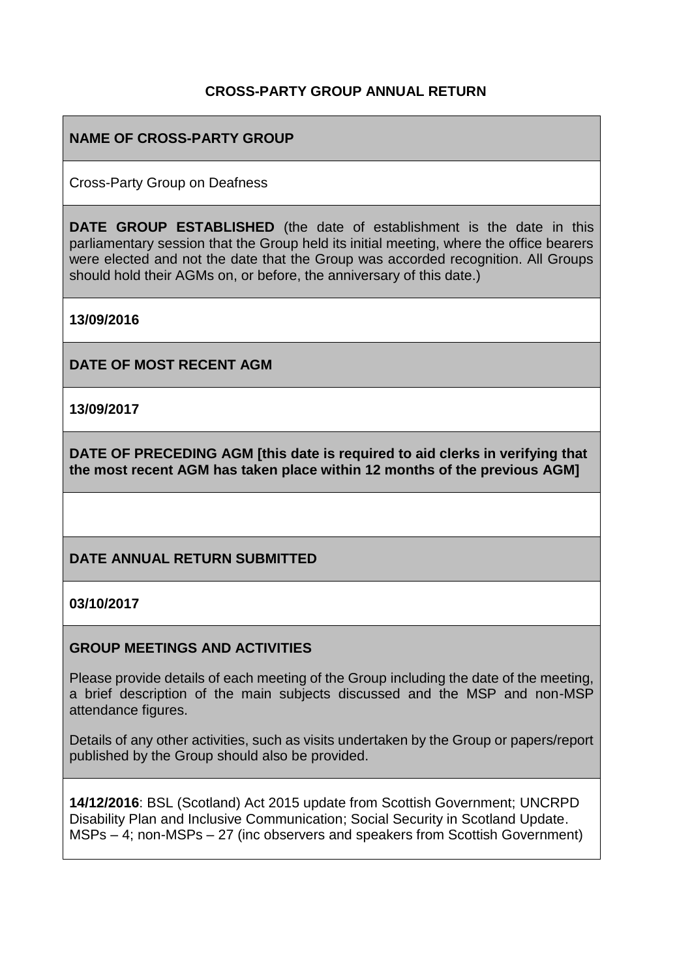#### **CROSS-PARTY GROUP ANNUAL RETURN**

### **NAME OF CROSS-PARTY GROUP**

Cross-Party Group on Deafness

**DATE GROUP ESTABLISHED** (the date of establishment is the date in this parliamentary session that the Group held its initial meeting, where the office bearers were elected and not the date that the Group was accorded recognition. All Groups should hold their AGMs on, or before, the anniversary of this date.)

**13/09/2016**

**DATE OF MOST RECENT AGM**

**13/09/2017**

**DATE OF PRECEDING AGM [this date is required to aid clerks in verifying that the most recent AGM has taken place within 12 months of the previous AGM]**

#### **DATE ANNUAL RETURN SUBMITTED**

#### **03/10/2017**

#### **GROUP MEETINGS AND ACTIVITIES**

Please provide details of each meeting of the Group including the date of the meeting, a brief description of the main subjects discussed and the MSP and non-MSP attendance figures.

Details of any other activities, such as visits undertaken by the Group or papers/report published by the Group should also be provided.

**14/12/2016**: BSL (Scotland) Act 2015 update from Scottish Government; UNCRPD Disability Plan and Inclusive Communication; Social Security in Scotland Update. MSPs – 4; non-MSPs – 27 (inc observers and speakers from Scottish Government)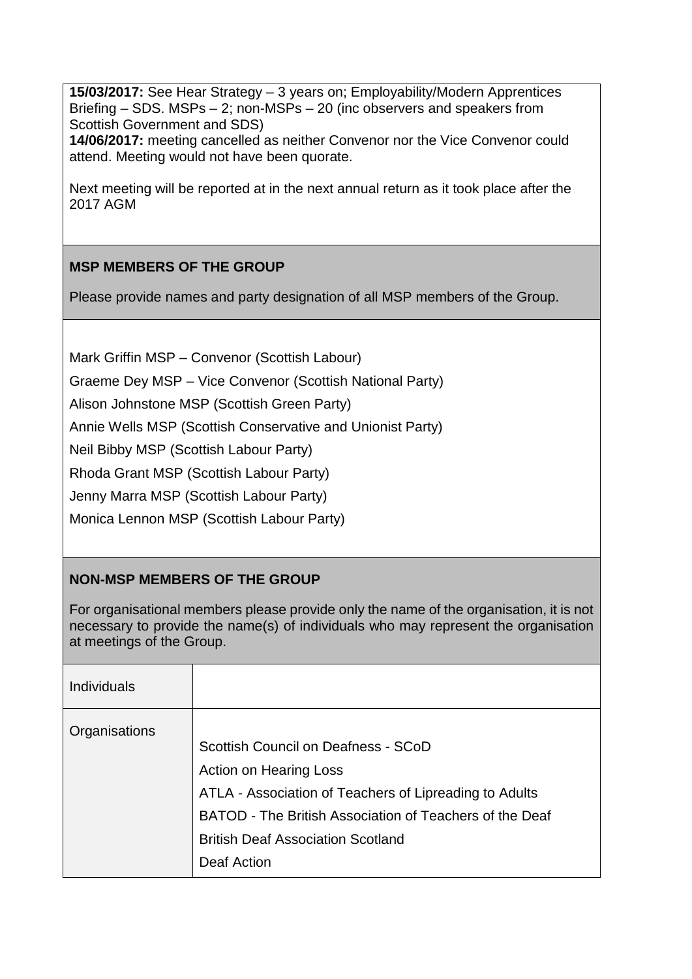**15/03/2017:** See Hear Strategy – 3 years on; Employability/Modern Apprentices Briefing – SDS. MSPs – 2; non-MSPs – 20 (inc observers and speakers from Scottish Government and SDS) **14/06/2017:** meeting cancelled as neither Convenor nor the Vice Convenor could attend. Meeting would not have been quorate.

Next meeting will be reported at in the next annual return as it took place after the 2017 AGM

## **MSP MEMBERS OF THE GROUP**

Please provide names and party designation of all MSP members of the Group.

Mark Griffin MSP – Convenor (Scottish Labour)

Graeme Dey MSP – Vice Convenor (Scottish National Party)

Alison Johnstone MSP (Scottish Green Party)

Annie Wells MSP (Scottish Conservative and Unionist Party)

Neil Bibby MSP (Scottish Labour Party)

Rhoda Grant MSP (Scottish Labour Party)

Jenny Marra MSP (Scottish Labour Party)

Monica Lennon MSP (Scottish Labour Party)

## **NON-MSP MEMBERS OF THE GROUP**

For organisational members please provide only the name of the organisation, it is not necessary to provide the name(s) of individuals who may represent the organisation at meetings of the Group.

| <b>Individuals</b> |                                                                                                                                                                                                                                               |
|--------------------|-----------------------------------------------------------------------------------------------------------------------------------------------------------------------------------------------------------------------------------------------|
| Organisations      | Scottish Council on Deafness - SCoD<br>Action on Hearing Loss<br>ATLA - Association of Teachers of Lipreading to Adults<br>BATOD - The British Association of Teachers of the Deaf<br><b>British Deaf Association Scotland</b><br>Deaf Action |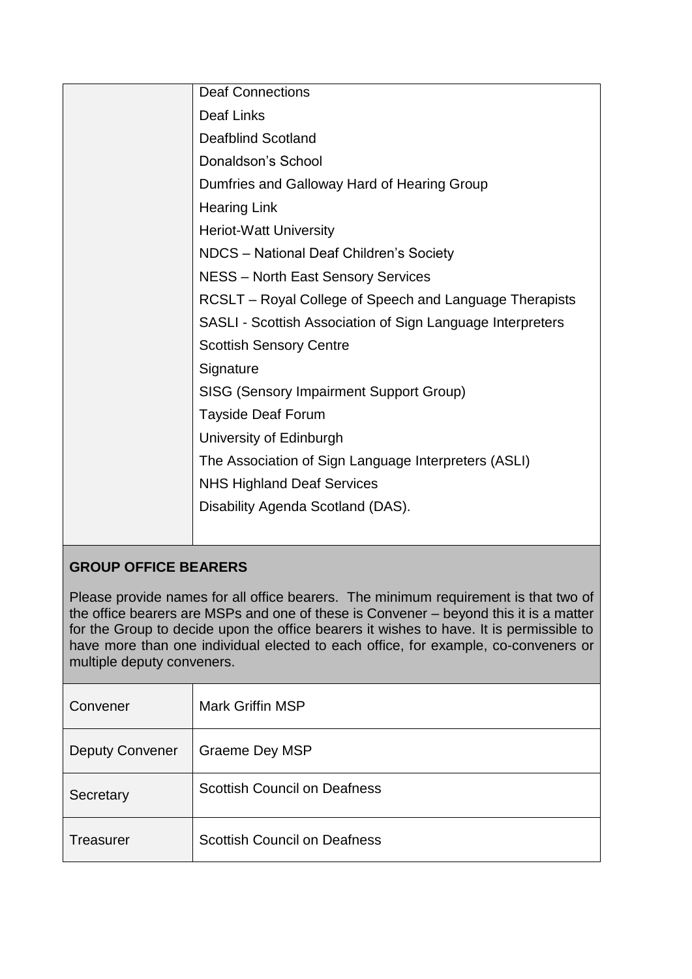| <b>Deaf Connections</b>                                    |
|------------------------------------------------------------|
| Deaf Links                                                 |
| <b>Deafblind Scotland</b>                                  |
| Donaldson's School                                         |
| Dumfries and Galloway Hard of Hearing Group                |
| <b>Hearing Link</b>                                        |
| <b>Heriot-Watt University</b>                              |
| NDCS - National Deaf Children's Society                    |
| <b>NESS - North East Sensory Services</b>                  |
| RCSLT – Royal College of Speech and Language Therapists    |
| SASLI - Scottish Association of Sign Language Interpreters |
| <b>Scottish Sensory Centre</b>                             |
| Signature                                                  |
| SISG (Sensory Impairment Support Group)                    |
| <b>Tayside Deaf Forum</b>                                  |
| University of Edinburgh                                    |
| The Association of Sign Language Interpreters (ASLI)       |
| <b>NHS Highland Deaf Services</b>                          |
| Disability Agenda Scotland (DAS).                          |
|                                                            |
|                                                            |

# **GROUP OFFICE BEARERS**

Please provide names for all office bearers. The minimum requirement is that two of the office bearers are MSPs and one of these is Convener – beyond this it is a matter for the Group to decide upon the office bearers it wishes to have. It is permissible to have more than one individual elected to each office, for example, co-conveners or multiple deputy conveners.

| Convener               | <b>Mark Griffin MSP</b>             |
|------------------------|-------------------------------------|
| <b>Deputy Convener</b> | Graeme Dey MSP                      |
| Secretary              | <b>Scottish Council on Deafness</b> |
| <b>Treasurer</b>       | <b>Scottish Council on Deafness</b> |